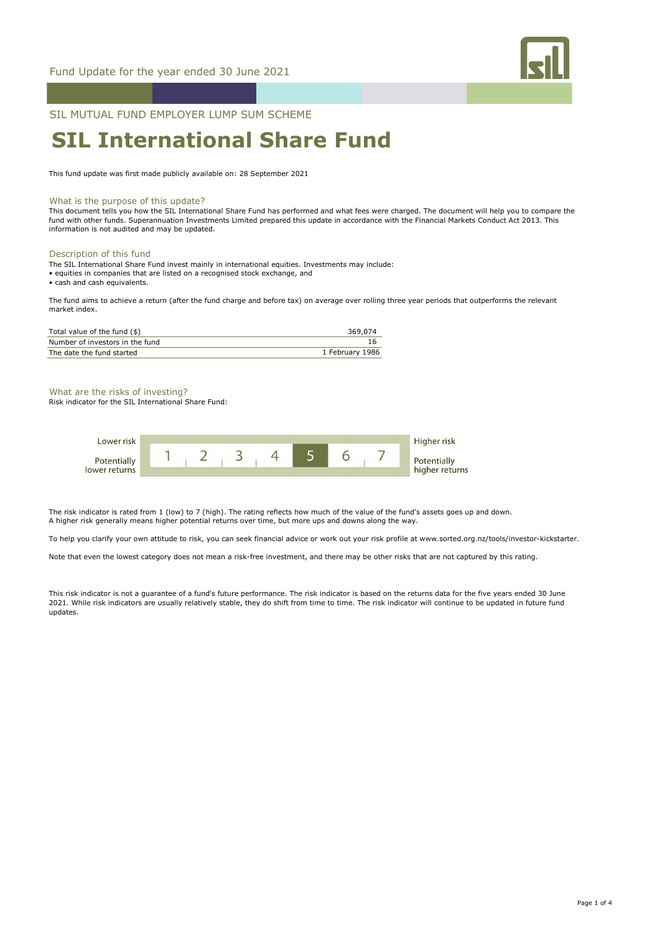

# SIL MUTUAL FUND EMPLOYER LUMP SUM SCHEME

# **SIL International Share Fund**

This fund update was first made publicly available on: 28 September 2021

#### What is the purpose of this update?

This document tells you how the SIL International Share Fund has performed and what fees were charged. The document will help you to compare the fund with other funds. Superannuation Investments Limited prepared this update in accordance with the Financial Markets Conduct Act 2013. This information is not audited and may be updated.

#### Description of this fund

The SIL International Share Fund invest mainly in international equities. Investments may include:

• equities in companies that are listed on a recognised stock exchange, and

• cash and cash equivalents.

The fund aims to achieve a return (after the fund charge and before tax) on average over rolling three year periods that outperforms the relevant market index.

| Total value of the fund (\$)    | 369,074         |
|---------------------------------|-----------------|
| Number of investors in the fund |                 |
| The date the fund started       | 1 February 1986 |

What are the risks of investing?

Risk indicator for the SIL International Share Fund:



The risk indicator is rated from 1 (low) to 7 (high). The rating reflects how much of the value of the fund's assets goes up and down. A higher risk generally means higher potential returns over time, but more ups and downs along the way.

To help you clarify your own attitude to risk, you can seek financial advice or work out your risk profile at www.sorted.org.nz/tools/investor-kickstarter.

Note that even the lowest category does not mean a risk-free investment, and there may be other risks that are not captured by this rating.

This risk indicator is not a guarantee of a fund's future performance. The risk indicator is based on the returns data for the five years ended 30 June 2021. While risk indicators are usually relatively stable, they do shift from time to time. The risk indicator will continue to be updated in future fund updates.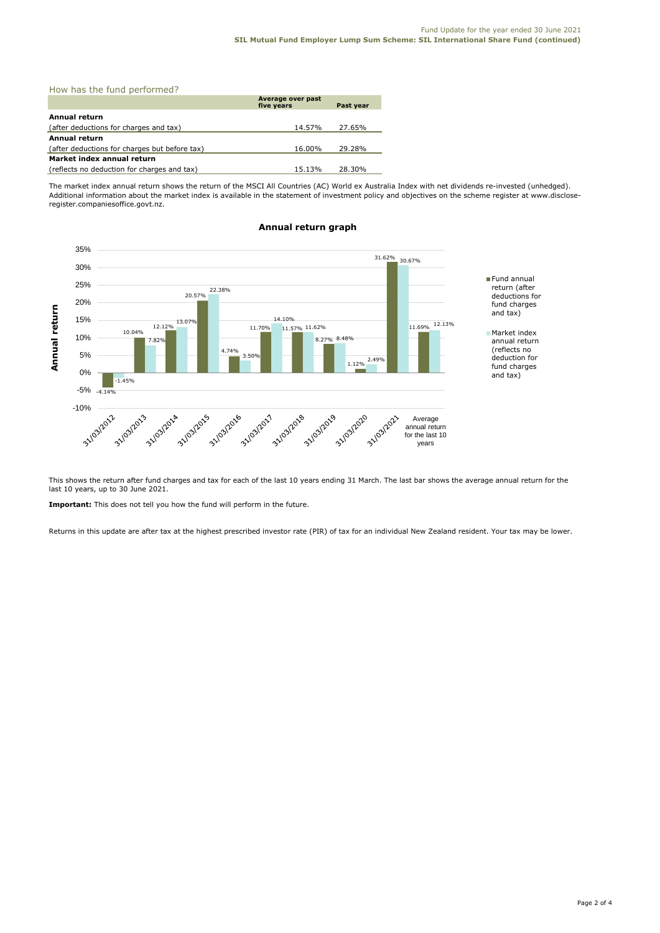| How has the fund performed?                   |                                 |           |  |  |
|-----------------------------------------------|---------------------------------|-----------|--|--|
|                                               | Average over past<br>five years | Past year |  |  |
| Annual return                                 |                                 |           |  |  |
| (after deductions for charges and tax)        | 14.57%                          | 27.65%    |  |  |
| <b>Annual return</b>                          |                                 |           |  |  |
| (after deductions for charges but before tax) | 16.00%                          | 29.28%    |  |  |
| Market index annual return                    |                                 |           |  |  |
| (reflects no deduction for charges and tax)   | 15.13%                          | 28.30%    |  |  |

The market index annual return shows the return of the MSCI All Countries (AC) World ex Australia Index with net dividends re-invested (unhedged). Additional information about the market index is available in the statement of investment policy and objectives on the scheme register at www.discloseregister.companiesoffice.govt.nz.



## **Annual return graph**

This shows the return after fund charges and tax for each of the last 10 years ending 31 March. The last bar shows the average annual return for the last 10 years, up to 30 June 2021.

**Important:** This does not tell you how the fund will perform in the future.

Returns in this update are after tax at the highest prescribed investor rate (PIR) of tax for an individual New Zealand resident. Your tax may be lower.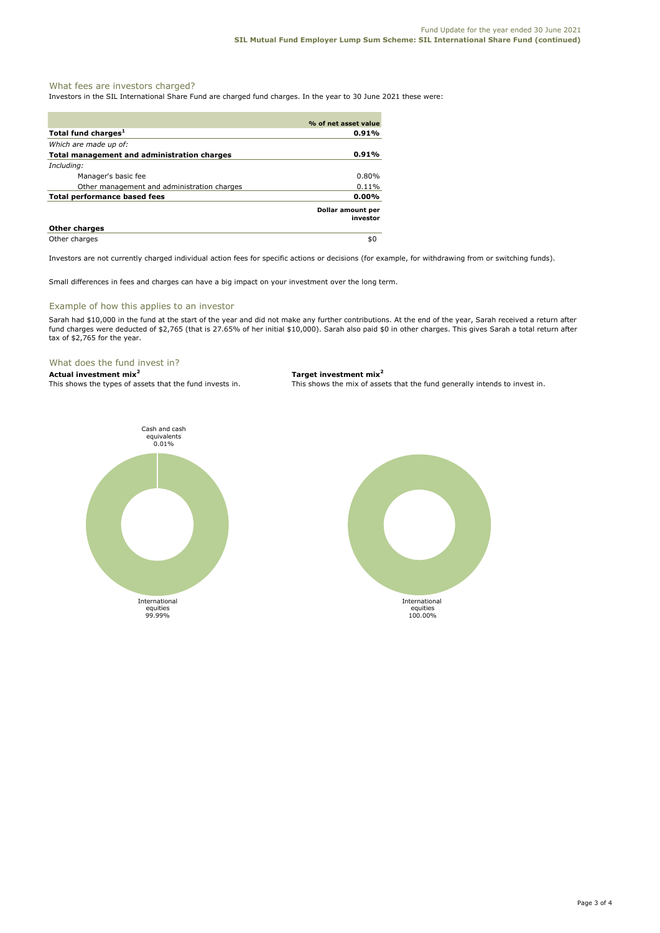# What fees are investors charged?

Investors in the SIL International Share Fund are charged fund charges. In the year to 30 June 2021 these were:

|                                                    | % of net asset value          |
|----------------------------------------------------|-------------------------------|
| Total fund charges <sup>1</sup>                    | 0.91%                         |
| Which are made up of:                              |                               |
| <b>Total management and administration charges</b> | 0.91%                         |
| Including:                                         |                               |
| Manager's basic fee                                | $0.80\%$                      |
| Other management and administration charges        | $0.11\%$                      |
| <b>Total performance based fees</b>                | 0.00%                         |
|                                                    | Dollar amount per<br>investor |
| <b>Other charges</b>                               |                               |
| Other charges                                      | \$0                           |

Investors are not currently charged individual action fees for specific actions or decisions (for example, for withdrawing from or switching funds).

Small differences in fees and charges can have a big impact on your investment over the long term.

# Example of how this applies to an investor

Sarah had \$10,000 in the fund at the start of the year and did not make any further contributions. At the end of the year, Sarah received a return after fund charges were deducted of \$2,765 (that is 27.65% of her initial \$10,000). Sarah also paid \$0 in other charges. This gives Sarah a total return after tax of \$2,765 for the year.

# What does the fund invest in?

**Actual investment mix<sup>2</sup> Target investment mix<sup>2</sup>**

This shows the types of assets that the fund invests in. This shows the mix of assets that the fund generally intends to invest in.